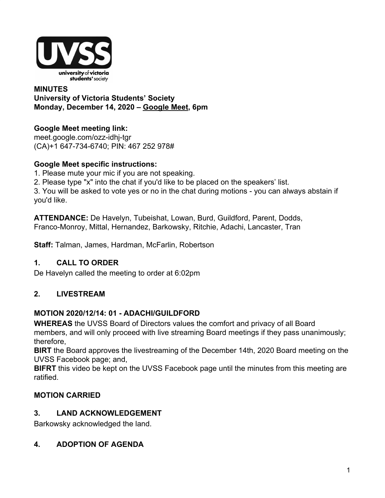

### **MINUTES University of Victoria Students' Society Monday, December 14, 2020 – [Google Meet](http://meet.google.com/ozz-idhj-tgr), 6pm**

# **Google Meet meeting link:**

[meet.google.com/ozz-idhj-tgr](https://meet.google.com/ozz-idhj-tgr?hs=122&authuser=2) (CA)+1 647-734-6740; PIN: 467 252 978#

### **Google Meet specific instructions:**

- 1. Please mute your mic if you are not speaking.
- 2. Please type "x" into the chat if you'd like to be placed on the speakers' list.

3. You will be asked to vote yes or no in the chat during motions - you can always abstain if you'd like.

**ATTENDANCE:** De Havelyn, Tubeishat, Lowan, Burd, Guildford, Parent, Dodds, Franco-Monroy, Mittal, Hernandez, Barkowsky, Ritchie, Adachi, Lancaster, Tran

**Staff:** Talman, James, Hardman, McFarlin, Robertson

# **1. CALL TO ORDER**

De Havelyn called the meeting to order at 6:02pm

# **2. LIVESTREAM**

# **MOTION 2020/12/14: 01 - ADACHI/GUILDFORD**

**WHEREAS** the UVSS Board of Directors values the comfort and privacy of all Board members, and will only proceed with live streaming Board meetings if they pass unanimously; therefore,

**BIRT** the Board approves the livestreaming of the December 14th, 2020 Board meeting on the UVSS Facebook page; and,

**BIFRT** this video be kept on the UVSS Facebook page until the minutes from this meeting are ratified.

# **MOTION CARRIED**

# **3. LAND ACKNOWLEDGEMENT**

Barkowsky acknowledged the land.

# **4. ADOPTION OF AGENDA**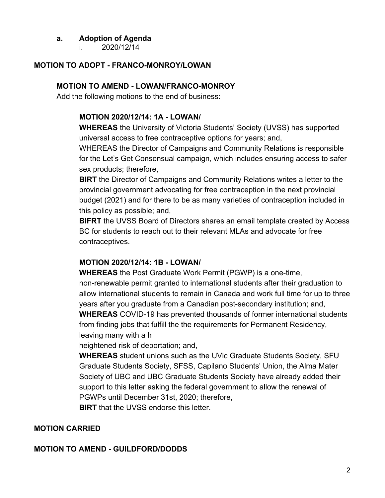### **a. Adoption of Agenda**

i. 2020/12/14

#### **MOTION TO ADOPT - FRANCO-MONROY/LOWAN**

#### **MOTION TO AMEND - LOWAN/FRANCO-MONROY**

Add the following motions to the end of business:

#### **MOTION 2020/12/14: 1A - LOWAN/**

**WHEREAS** the University of Victoria Students' Society (UVSS) has supported universal access to free contraceptive options for years; and,

WHEREAS the Director of Campaigns and Community Relations is responsible for the Let's Get Consensual campaign, which includes ensuring access to safer sex products; therefore,

**BIRT** the Director of Campaigns and Community Relations writes a letter to the provincial government advocating for free contraception in the next provincial budget (2021) and for there to be as many varieties of contraception included in this policy as possible; and,

**BIFRT** the UVSS Board of Directors shares an email template created by Access BC for students to reach out to their relevant MLAs and advocate for free contraceptives.

#### **MOTION 2020/12/14: 1B - LOWAN/**

**WHEREAS** the Post Graduate Work Permit (PGWP) is a one-time, non-renewable permit granted to international students after their graduation to allow international students to remain in Canada and work full time for up to three years after you graduate from a Canadian post-secondary institution; and, **WHEREAS** COVID-19 has prevented thousands of former international students from finding jobs that fulfill the the requirements for Permanent Residency, leaving many with a h

heightened risk of deportation; and,

**WHEREAS** student unions such as the UVic Graduate Students Society, SFU Graduate Students Society, SFSS, Capilano Students' Union, the Alma Mater Society of UBC and UBC Graduate Students Society have already added their support to this letter asking the federal government to allow the renewal of PGWPs until December 31st, 2020; therefore,

**BIRT** that the UVSS endorse this letter.

#### **MOTION CARRIED**

#### **MOTION TO AMEND - GUILDFORD/DODDS**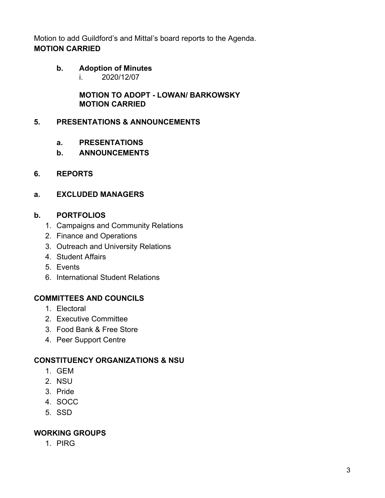Motion to add Guildford's and Mittal's board reports to the Agenda. **MOTION CARRIED**

### **b. Adoption of Minutes**

i. 2020/12/07

**MOTION TO ADOPT - LOWAN/ BARKOWSKY MOTION CARRIED**

### **5. PRESENTATIONS & ANNOUNCEMENTS**

- **a. PRESENTATIONS**
- **b. ANNOUNCEMENTS**

### **6. REPORTS**

# **a. EXCLUDED MANAGERS**

### **b. PORTFOLIOS**

- 1. Campaigns and Community Relations
- 2. Finance and Operations
- 3. Outreach and University Relations
- 4. Student Affairs
- 5. Events
- 6. International Student Relations

# **COMMITTEES AND COUNCILS**

- 1. Electoral
- 2. Executive Committee
- 3. Food Bank & Free Store
- 4. Peer Support Centre

# **CONSTITUENCY ORGANIZATIONS & NSU**

- 1. GEM
- 2. NSU
- 3. Pride
- 4. SOCC
- 5. SSD

# **WORKING GROUPS**

1. PIRG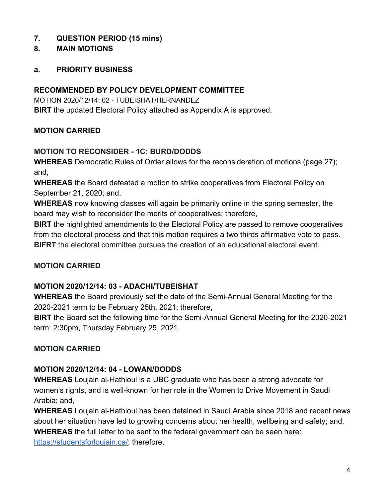# **7. QUESTION PERIOD (15 mins)**

#### **8. MAIN MOTIONS**

#### **a. PRIORITY BUSINESS**

#### **RECOMMENDED BY POLICY DEVELOPMENT COMMITTEE**

MOTION 2020/12/14: 02 - TUBEISHAT/HERNANDEZ **BIRT** the updated Electoral Policy attached as Appendix A is approved.

### **MOTION CARRIED**

#### **MOTION TO RECONSIDER - 1C: BURD/DODDS**

**WHEREAS** Democratic Rules of Order allows for the reconsideration of motions (page 27); and,

**WHEREAS** the Board defeated a motion to strike cooperatives from Electoral Policy on September 21, 2020; and,

**WHEREAS** now knowing classes will again be primarily online in the spring semester, the board may wish to reconsider the merits of cooperatives; therefore,

**BIRT** the highlighted amendments to the Electoral Policy are passed to remove cooperatives from the electoral process and that this motion requires a two thirds affirmative vote to pass. **BIFRT** the electoral committee pursues the creation of an educational electoral event.

### **MOTION CARRIED**

### **MOTION 2020/12/14: 03 - ADACHI/TUBEISHAT**

**WHEREAS** the Board previously set the date of the Semi-Annual General Meeting for the 2020-2021 term to be February 25th, 2021; therefore,

**BIRT** the Board set the following time for the Semi-Annual General Meeting for the 2020-2021 term: 2:30pm, Thursday February 25, 2021.

### **MOTION CARRIED**

### **MOTION 2020/12/14: 04 - LOWAN/DODDS**

**WHEREAS** Loujain al-Hathloul is a UBC graduate who has been a strong advocate for women's rights, and is well-known for her role in the Women to Drive Movement in Saudi Arabia; and,

**WHEREAS** Loujain al-Hathloul has been detained in Saudi Arabia since 2018 and recent news about her situation have led to growing concerns about her health, wellbeing and safety; and, **WHEREAS** the full letter to be sent to the federal government can be seen here: <https://studentsforloujain.ca/>; therefore,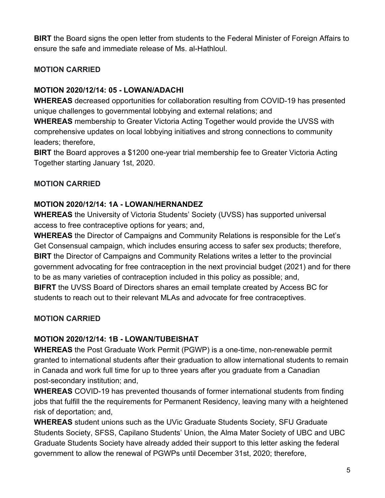**BIRT** the Board signs the open letter from students to the Federal Minister of Foreign Affairs to ensure the safe and immediate release of Ms. al-Hathloul.

### **MOTION CARRIED**

#### **MOTION 2020/12/14: 05 - LOWAN/ADACHI**

**WHEREAS** decreased opportunities for collaboration resulting from COVID-19 has presented unique challenges to governmental lobbying and external relations; and

**WHEREAS** membership to Greater Victoria Acting Together would provide the UVSS with comprehensive updates on local lobbying initiatives and strong connections to community leaders; therefore,

**BIRT** the Board approves a \$1200 one-year trial membership fee to Greater Victoria Acting Together starting January 1st, 2020.

### **MOTION CARRIED**

#### **MOTION 2020/12/14: 1A - LOWAN/HERNANDEZ**

**WHEREAS** the University of Victoria Students' Society (UVSS) has supported universal access to free contraceptive options for years; and,

**WHEREAS** the Director of Campaigns and Community Relations is responsible for the Let's Get Consensual campaign, which includes ensuring access to safer sex products; therefore, **BIRT** the Director of Campaigns and Community Relations writes a letter to the provincial government advocating for free contraception in the next provincial budget (2021) and for there to be as many varieties of contraception included in this policy as possible; and, **BIFRT** the UVSS Board of Directors shares an email template created by Access BC for students to reach out to their relevant MLAs and advocate for free contraceptives.

### **MOTION CARRIED**

#### **MOTION 2020/12/14: 1B - LOWAN/TUBEISHAT**

**WHEREAS** the Post Graduate Work Permit (PGWP) is a one-time, non-renewable permit granted to international students after their graduation to allow international students to remain in Canada and work full time for up to three years after you graduate from a Canadian post-secondary institution; and,

**WHEREAS** COVID-19 has prevented thousands of former international students from finding jobs that fulfill the the requirements for Permanent Residency, leaving many with a heightened risk of deportation; and,

**WHEREAS** student unions such as the UVic Graduate Students Society, SFU Graduate Students Society, SFSS, Capilano Students' Union, the Alma Mater Society of UBC and UBC Graduate Students Society have already added their support to this letter asking the federal government to allow the renewal of PGWPs until December 31st, 2020; therefore,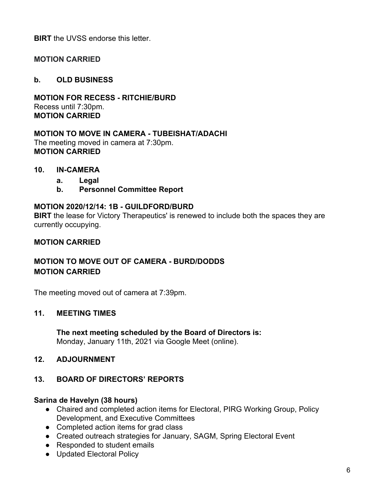**BIRT** the UVSS endorse this letter.

### **MOTION CARRIED**

#### **b. OLD BUSINESS**

**MOTION FOR RECESS - RITCHIE/BURD** Recess until 7:30pm. **MOTION CARRIED**

**MOTION TO MOVE IN CAMERA - TUBEISHAT/ADACHI** The meeting moved in camera at 7:30pm. **MOTION CARRIED**

#### **10. IN-CAMERA**

- **a. Legal**
- **b. Personnel Committee Report**

#### **MOTION 2020/12/14: 1B - GUILDFORD/BURD**

**BIRT** the lease for Victory Therapeutics' is renewed to include both the spaces they are currently occupying.

#### **MOTION CARRIED**

### **MOTION TO MOVE OUT OF CAMERA - BURD/DODDS MOTION CARRIED**

The meeting moved out of camera at 7:39pm.

#### **11. MEETING TIMES**

**The next meeting scheduled by the Board of Directors is:** Monday, January 11th, 2021 via Google Meet (online).

#### **12. ADJOURNMENT**

### **13. BOARD OF DIRECTORS' REPORTS**

#### **Sarina de Havelyn (38 hours)**

- Chaired and completed action items for Electoral, PIRG Working Group, Policy Development, and Executive Committees
- Completed action items for grad class
- Created outreach strategies for January, SAGM, Spring Electoral Event
- Responded to student emails
- Updated Electoral Policy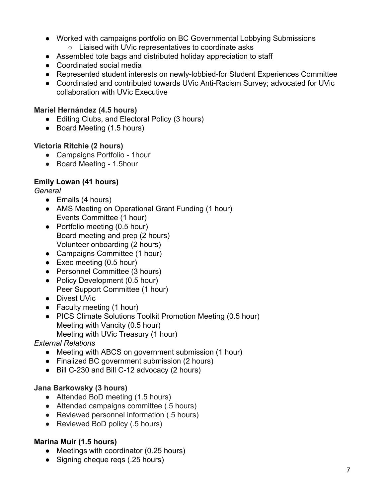- Worked with campaigns portfolio on BC Governmental Lobbying Submissions
	- Liaised with UVic representatives to coordinate asks
- Assembled tote bags and distributed holiday appreciation to staff
- Coordinated social media
- Represented student interests on newly-lobbied-for Student Experiences Committee
- Coordinated and contributed towards UVic Anti-Racism Survey; advocated for UVic collaboration with UVic Executive

### **Mariel Hernández (4.5 hours)**

- Editing Clubs, and Electoral Policy (3 hours)
- Board Meeting (1.5 hours)

### **Victoria Ritchie (2 hours)**

- Campaigns Portfolio 1hour
- Board Meeting 1.5hour

# **Emily Lowan (41 hours)**

### *General*

- Emails (4 hours)
- AMS Meeting on Operational Grant Funding (1 hour) Events Committee (1 hour)
- Portfolio meeting (0.5 hour) Board meeting and prep (2 hours) Volunteer onboarding (2 hours)
- Campaigns Committee (1 hour)
- Exec meeting (0.5 hour)
- Personnel Committee (3 hours)
- Policy Development (0.5 hour) Peer Support Committee (1 hour)
- Divest UVic
- Faculty meeting (1 hour)
- PICS Climate Solutions Toolkit Promotion Meeting (0.5 hour) Meeting with Vancity (0.5 hour)
	- Meeting with UVic Treasury (1 hour)

# *External Relations*

- Meeting with ABCS on government submission (1 hour)
- Finalized BC government submission (2 hours)
- Bill C-230 and Bill C-12 advocacy (2 hours)

# **Jana Barkowsky (3 hours)**

- Attended BoD meeting (1.5 hours)
- Attended campaigns committee (.5 hours)
- Reviewed personnel information (.5 hours)
- Reviewed BoD policy (.5 hours)

# **Marina Muir (1.5 hours)**

- Meetings with coordinator (0.25 hours)
- Signing cheque reqs (.25 hours)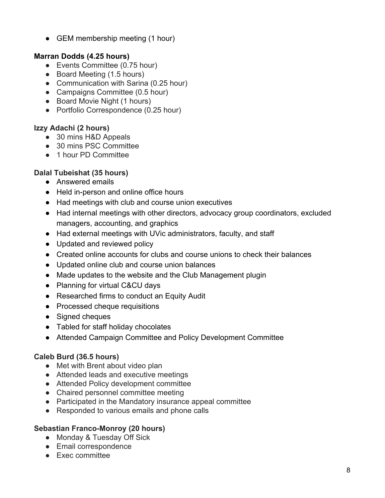• GEM membership meeting (1 hour)

### **Marran Dodds (4.25 hours)**

- Events Committee (0.75 hour)
- Board Meeting (1.5 hours)
- Communication with Sarina (0.25 hour)
- Campaigns Committee (0.5 hour)
- Board Movie Night (1 hours)
- Portfolio Correspondence (0.25 hour)

# **Izzy Adachi (2 hours)**

- 30 mins H&D Appeals
- 30 mins PSC Committee
- 1 hour PD Committee

# **Dalal Tubeishat (35 hours)**

- Answered emails
- Held in-person and online office hours
- Had meetings with club and course union executives
- Had internal meetings with other directors, advocacy group coordinators, excluded managers, accounting, and graphics
- Had external meetings with UVic administrators, faculty, and staff
- Updated and reviewed policy
- Created online accounts for clubs and course unions to check their balances
- Updated online club and course union balances
- Made updates to the website and the Club Management plugin
- Planning for virtual C&CU days
- Researched firms to conduct an Equity Audit
- Processed cheque requisitions
- Signed cheques
- Tabled for staff holiday chocolates
- Attended Campaign Committee and Policy Development Committee

# **Caleb Burd (36.5 hours)**

- Met with Brent about video plan
- Attended leads and executive meetings
- Attended Policy development committee
- Chaired personnel committee meeting
- Participated in the Mandatory insurance appeal committee
- Responded to various emails and phone calls

### **Sebastian Franco-Monroy (20 hours)**

- Monday & Tuesday Off Sick
- Email correspondence
- Exec committee